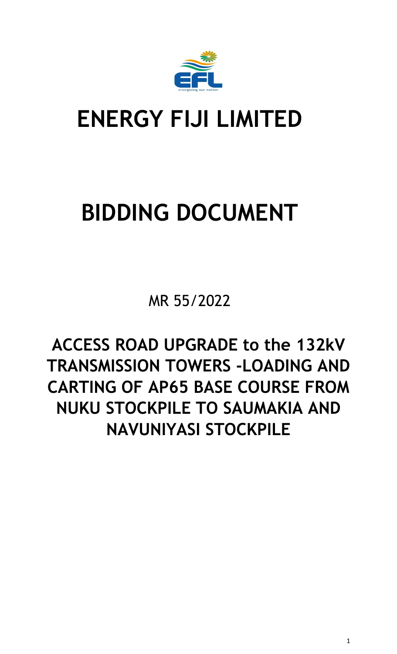<span id="page-0-0"></span>

# **ENERGY FIJI LIMITED**

# **BIDDING DOCUMENT**

MR 55/2022

**ACCESS ROAD UPGRADE to the 132kV TRANSMISSION TOWERS -LOADING AND CARTING OF AP65 BASE COURSE FROM NUKU STOCKPILE TO SAUMAKIA AND NAVUNIYASI STOCKPILE**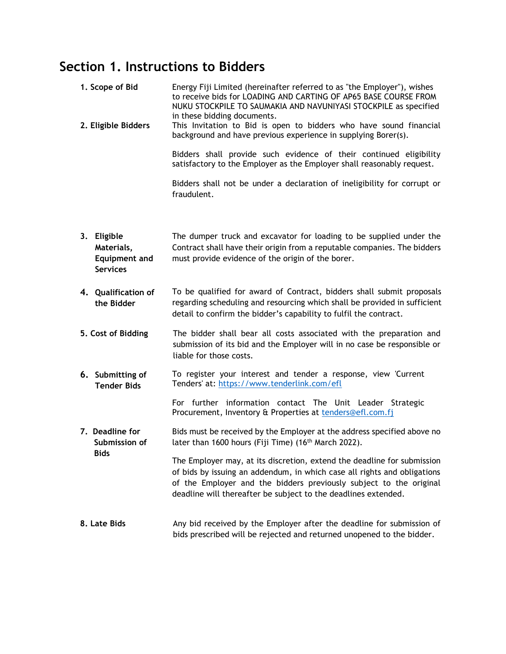# **Section 1. Instructions to Bidders**

| 1. Scope of Bid<br>2. Eligible Bidders                               | Energy Fiji Limited (hereinafter referred to as "the Employer"), wishes<br>to receive bids for LOADING AND CARTING OF AP65 BASE COURSE FROM<br>NUKU STOCKPILE TO SAUMAKIA AND NAVUNIYASI STOCKPILE as specified<br>in these bidding documents.<br>This Invitation to Bid is open to bidders who have sound financial<br>background and have previous experience in supplying Borer(s). |  |
|----------------------------------------------------------------------|----------------------------------------------------------------------------------------------------------------------------------------------------------------------------------------------------------------------------------------------------------------------------------------------------------------------------------------------------------------------------------------|--|
|                                                                      | Bidders shall provide such evidence of their continued eligibility<br>satisfactory to the Employer as the Employer shall reasonably request.                                                                                                                                                                                                                                           |  |
|                                                                      | Bidders shall not be under a declaration of ineligibility for corrupt or<br>fraudulent.                                                                                                                                                                                                                                                                                                |  |
| 3. Eligible<br>Materials,<br><b>Equipment and</b><br><b>Services</b> | The dumper truck and excavator for loading to be supplied under the<br>Contract shall have their origin from a reputable companies. The bidders<br>must provide evidence of the origin of the borer.                                                                                                                                                                                   |  |
| 4. Qualification of<br>the Bidder                                    | To be qualified for award of Contract, bidders shall submit proposals<br>regarding scheduling and resourcing which shall be provided in sufficient<br>detail to confirm the bidder's capability to fulfil the contract.                                                                                                                                                                |  |
| 5. Cost of Bidding                                                   | The bidder shall bear all costs associated with the preparation and<br>submission of its bid and the Employer will in no case be responsible or<br>liable for those costs.                                                                                                                                                                                                             |  |
| 6. Submitting of<br><b>Tender Bids</b>                               | To register your interest and tender a response, view 'Current<br>Tenders' at: https://www.tenderlink.com/efl                                                                                                                                                                                                                                                                          |  |
|                                                                      | For further information contact The Unit Leader Strategic<br>Procurement, Inventory & Properties at tenders@efl.com.fj                                                                                                                                                                                                                                                                 |  |
| 7. Deadline for<br>Submission of                                     | Bids must be received by the Employer at the address specified above no<br>later than 1600 hours (Fiji Time) (16 <sup>th</sup> March 2022).                                                                                                                                                                                                                                            |  |
| <b>Bids</b>                                                          | The Employer may, at its discretion, extend the deadline for submission<br>of bids by issuing an addendum, in which case all rights and obligations<br>of the Employer and the bidders previously subject to the original<br>deadline will thereafter be subject to the deadlines extended.                                                                                            |  |
| 8. Late Bids                                                         | Any bid received by the Employer after the deadline for submission of<br>bids prescribed will be rejected and returned unopened to the bidder.                                                                                                                                                                                                                                         |  |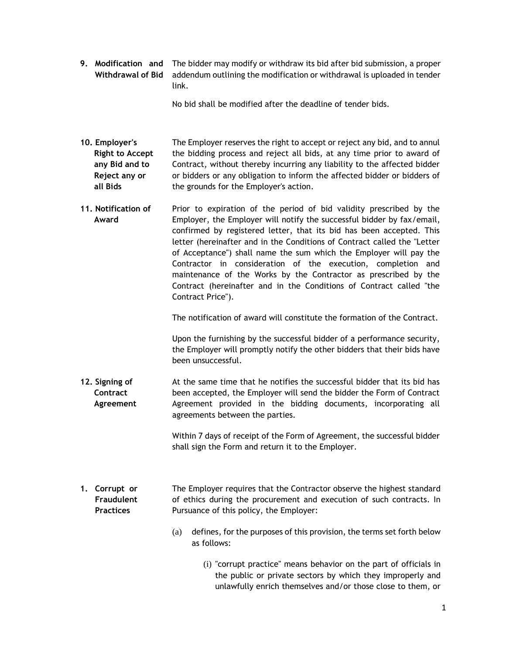**9. Modification and**  The bidder may modify or withdraw its bid after bid submission, a proper **Withdrawal of Bid** addendum outlining the modification or withdrawal is uploaded in tender link.

No bid shall be modified after the deadline of tender bids.

- **10. Employer's Right to Accept any Bid and to Reject any or all Bids** The Employer reserves the right to accept or reject any bid, and to annul the bidding process and reject all bids, at any time prior to award of Contract, without thereby incurring any liability to the affected bidder or bidders or any obligation to inform the affected bidder or bidders of the grounds for the Employer's action.
- **11. Notification of Award** Prior to expiration of the period of bid validity prescribed by the Employer, the Employer will notify the successful bidder by fax/email, confirmed by registered letter, that its bid has been accepted. This letter (hereinafter and in the Conditions of Contract called the "Letter of Acceptance") shall name the sum which the Employer will pay the Contractor in consideration of the execution, completion and maintenance of the Works by the Contractor as prescribed by the Contract (hereinafter and in the Conditions of Contract called "the Contract Price").

The notification of award will constitute the formation of the Contract.

Upon the furnishing by the successful bidder of a performance security, the Employer will promptly notify the other bidders that their bids have been unsuccessful.

**12. Signing of Contract Agreement** At the same time that he notifies the successful bidder that its bid has been accepted, the Employer will send the bidder the Form of Contract Agreement provided in the bidding documents, incorporating all agreements between the parties.

> Within 7 days of receipt of the Form of Agreement, the successful bidder shall sign the Form and return it to the Employer.

- **1. Corrupt or Fraudulent Practices** The Employer requires that the Contractor observe the highest standard of ethics during the procurement and execution of such contracts. In Pursuance of this policy, the Employer:
	- (a) defines, for the purposes of this provision, the terms set forth below as follows:
		- (i) "corrupt practice" means behavior on the part of officials in the public or private sectors by which they improperly and unlawfully enrich themselves and/or those close to them, or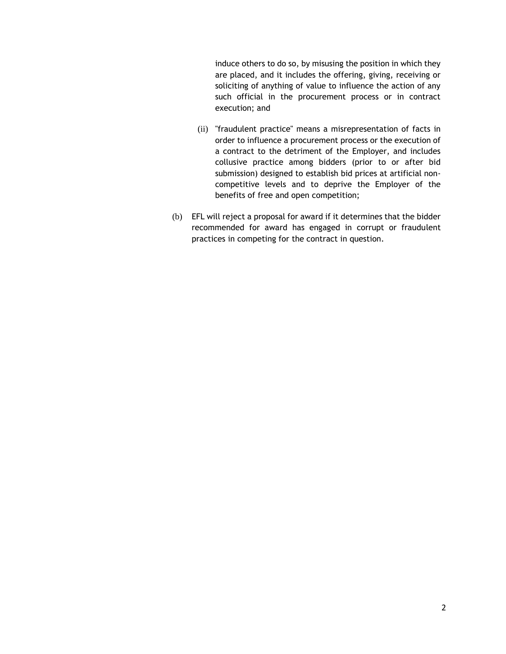induce others to do so, by misusing the position in which they are placed, and it includes the offering, giving, receiving or soliciting of anything of value to influence the action of any such official in the procurement process or in contract execution; and

- (ii) "fraudulent practice" means a misrepresentation of facts in order to influence a procurement process or the execution of a contract to the detriment of the Employer, and includes collusive practice among bidders (prior to or after bid submission) designed to establish bid prices at artificial noncompetitive levels and to deprive the Employer of the benefits of free and open competition;
- (b) EFL will reject a proposal for award if it determines that the bidder recommended for award has engaged in corrupt or fraudulent practices in competing for the contract in question.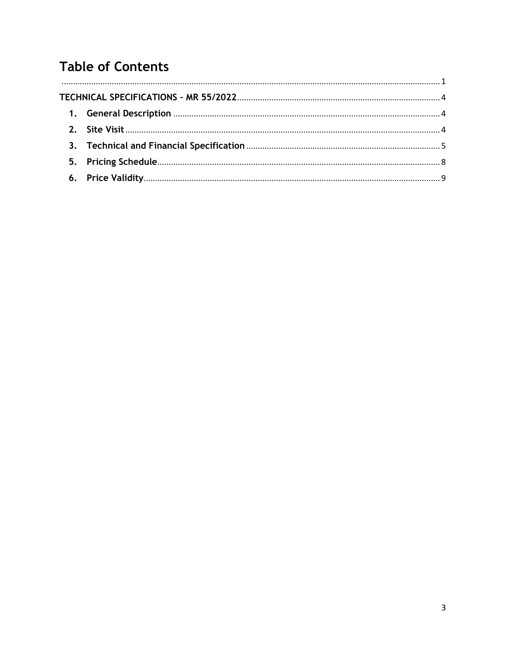# **Table of Contents**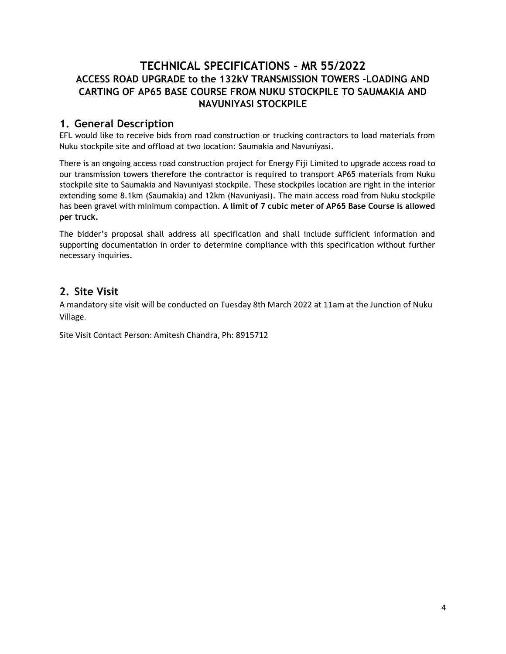## <span id="page-5-0"></span>**TECHNICAL SPECIFICATIONS – MR 55/2022 ACCESS ROAD UPGRADE to the 132kV TRANSMISSION TOWERS -LOADING AND CARTING OF AP65 BASE COURSE FROM NUKU STOCKPILE TO SAUMAKIA AND NAVUNIYASI STOCKPILE**

## <span id="page-5-1"></span>**1. General Description**

EFL would like to receive bids from road construction or trucking contractors to load materials from Nuku stockpile site and offload at two location: Saumakia and Navuniyasi.

There is an ongoing access road construction project for Energy Fiji Limited to upgrade access road to our transmission towers therefore the contractor is required to transport AP65 materials from Nuku stockpile site to Saumakia and Navuniyasi stockpile. These stockpiles location are right in the interior extending some 8.1km (Saumakia) and 12km (Navuniyasi). The main access road from Nuku stockpile has been gravel with minimum compaction. **A limit of 7 cubic meter of AP65 Base Course is allowed per truck.** 

The bidder's proposal shall address all specification and shall include sufficient information and supporting documentation in order to determine compliance with this specification without further necessary inquiries.

## <span id="page-5-2"></span>**2. Site Visit**

A mandatory site visit will be conducted on Tuesday 8th March 2022 at 11am at the Junction of Nuku Village.

Site Visit Contact Person: Amitesh Chandra, Ph: 8915712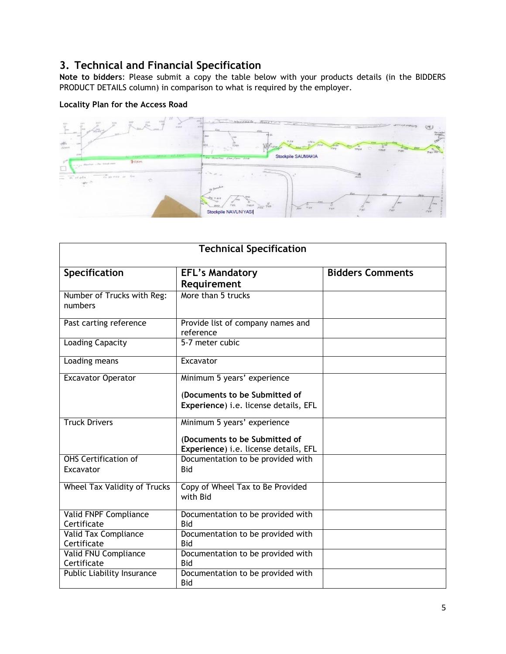## <span id="page-6-0"></span>**3. Technical and Financial Specification**

**Note to bidders**: Please submit a copy the table below with your products details (in the BIDDERS PRODUCT DETAILS column) in comparison to what is required by the employer.

#### **Locality Plan for the Access Road**



|                                            | <b>Technical Specification</b>                                                                        |                         |
|--------------------------------------------|-------------------------------------------------------------------------------------------------------|-------------------------|
| Specification                              | <b>EFL's Mandatory</b><br>Requirement                                                                 | <b>Bidders Comments</b> |
| Number of Trucks with Reg:<br>numbers      | More than 5 trucks                                                                                    |                         |
| Past carting reference                     | Provide list of company names and<br>reference                                                        |                         |
| Loading Capacity                           | 5-7 meter cubic                                                                                       |                         |
| Loading means                              | Excavator                                                                                             |                         |
| <b>Excavator Operator</b>                  | Minimum 5 years' experience<br>(Documents to be Submitted of<br>Experience) i.e. license details, EFL |                         |
| <b>Truck Drivers</b>                       | Minimum 5 years' experience<br>(Documents to be Submitted of<br>Experience) i.e. license details, EFL |                         |
| <b>OHS Certification of</b><br>Excavator   | Documentation to be provided with<br><b>Bid</b>                                                       |                         |
| <b>Wheel Tax Validity of Trucks</b>        | Copy of Wheel Tax to Be Provided<br>with Bid                                                          |                         |
| Valid FNPF Compliance<br>Certificate       | Documentation to be provided with<br><b>Bid</b>                                                       |                         |
| <b>Valid Tax Compliance</b><br>Certificate | Documentation to be provided with<br>Bid                                                              |                         |
| Valid FNU Compliance<br>Certificate        | Documentation to be provided with<br><b>Bid</b>                                                       |                         |
| Public Liability Insurance                 | Documentation to be provided with<br>Bid                                                              |                         |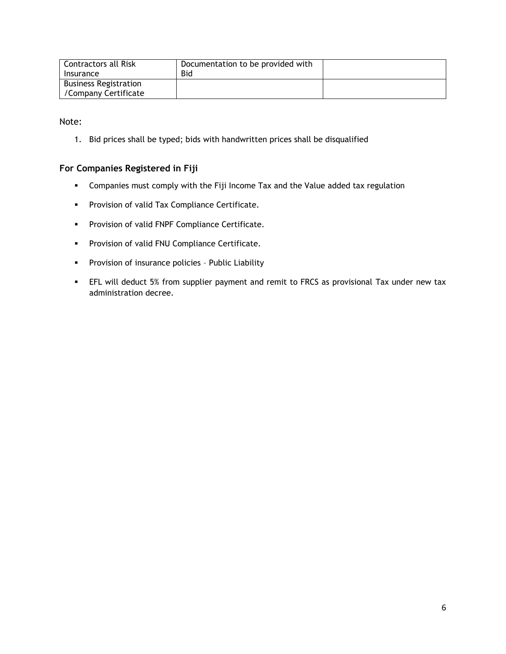| <b>Contractors all Risk</b><br>Insurance | Documentation to be provided with<br>Bid |  |
|------------------------------------------|------------------------------------------|--|
| <b>Business Registration</b>             |                                          |  |
| /Company Certificate                     |                                          |  |

Note:

1. Bid prices shall be typed; bids with handwritten prices shall be disqualified

#### **For Companies Registered in Fiji**

- Companies must comply with the Fiji Income Tax and the Value added tax regulation
- **Provision of valid Tax Compliance Certificate.**
- **Provision of valid FNPF Compliance Certificate.**
- **Provision of valid FNU Compliance Certificate.**
- **Provision of insurance policies Public Liability**
- EFL will deduct 5% from supplier payment and remit to FRCS as provisional Tax under new tax administration decree.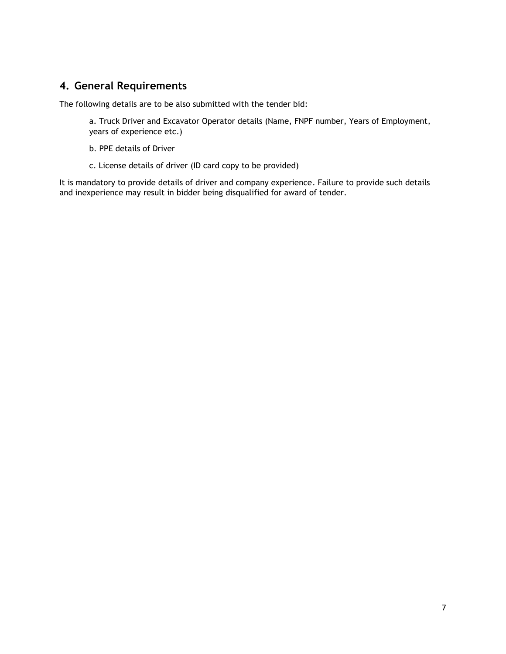### **4. General Requirements**

The following details are to be also submitted with the tender bid:

a. Truck Driver and Excavator Operator details (Name, FNPF number, Years of Employment, years of experience etc.)

- b. PPE details of Driver
- c. License details of driver (ID card copy to be provided)

It is mandatory to provide details of driver and company experience. Failure to provide such details and inexperience may result in bidder being disqualified for award of tender.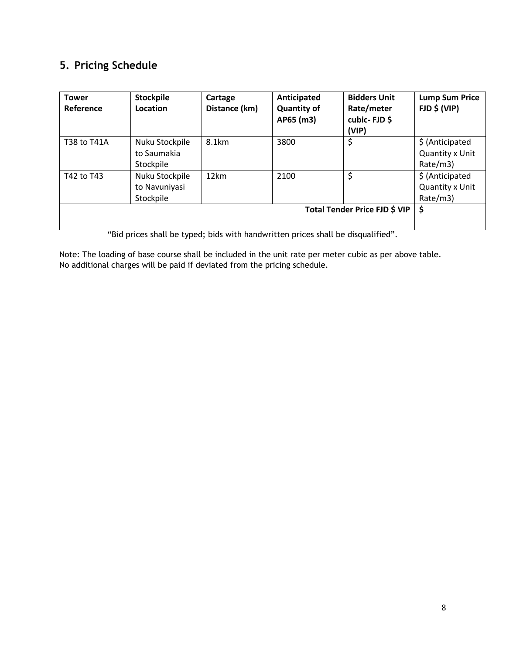# <span id="page-9-0"></span>**5. Pricing Schedule**

| <b>Tower</b><br>Reference | <b>Stockpile</b><br>Location                 | Cartage<br>Distance (km) | Anticipated<br><b>Quantity of</b><br>AP65 (m3) | <b>Bidders Unit</b><br>Rate/meter<br>cubic-FJD\$<br>(VIP) | <b>Lump Sum Price</b><br>$FJD \$ $(VIP)$             |
|---------------------------|----------------------------------------------|--------------------------|------------------------------------------------|-----------------------------------------------------------|------------------------------------------------------|
| T38 to T41A               | Nuku Stockpile<br>to Saumakia<br>Stockpile   | 8.1km                    | 3800                                           | \$                                                        | \$ (Anticipated<br>Quantity x Unit<br>Rate/m3)       |
| T42 to T43                | Nuku Stockpile<br>to Navuniyasi<br>Stockpile | 12km                     | 2100                                           | \$                                                        | \$(Anticipated<br><b>Quantity x Unit</b><br>Rate/m3) |
| $\cdots$ $\cdots$         | $\mathbf{1}$ and $\mathbf{1}$                | .<br>$\cdots$            | .                                              | Total Tender Price FJD \$ VIP<br>$\cdots$<br>.            | \$                                                   |

"Bid prices shall be typed; bids with handwritten prices shall be disqualified".

Note: The loading of base course shall be included in the unit rate per meter cubic as per above table. No additional charges will be paid if deviated from the pricing schedule.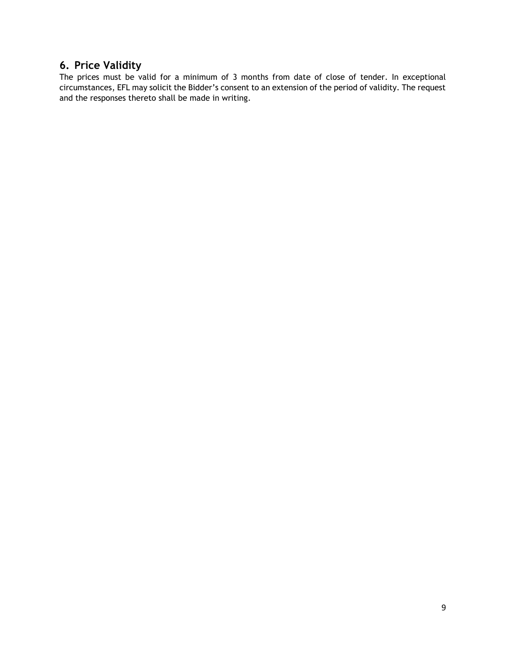## <span id="page-10-0"></span>**6. Price Validity**

The prices must be valid for a minimum of 3 months from date of close of tender. In exceptional circumstances, EFL may solicit the Bidder's consent to an extension of the period of validity. The request and the responses thereto shall be made in writing.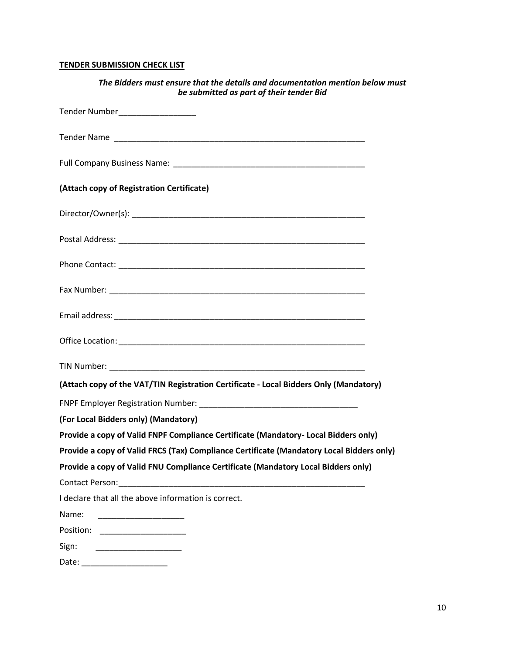#### **TENDER SUBMISSION CHECK LIST**

| The Bidders must ensure that the details and documentation mention below must<br>be submitted as part of their tender Bid |
|---------------------------------------------------------------------------------------------------------------------------|
| Tender Number____________________                                                                                         |
|                                                                                                                           |
|                                                                                                                           |
| (Attach copy of Registration Certificate)                                                                                 |
|                                                                                                                           |
|                                                                                                                           |
|                                                                                                                           |
|                                                                                                                           |
|                                                                                                                           |
|                                                                                                                           |
|                                                                                                                           |
| (Attach copy of the VAT/TIN Registration Certificate - Local Bidders Only (Mandatory)                                     |
|                                                                                                                           |
| (For Local Bidders only) (Mandatory)                                                                                      |
| Provide a copy of Valid FNPF Compliance Certificate (Mandatory- Local Bidders only)                                       |
| Provide a copy of Valid FRCS (Tax) Compliance Certificate (Mandatory Local Bidders only)                                  |
| Provide a copy of Valid FNU Compliance Certificate (Mandatory Local Bidders only)                                         |
|                                                                                                                           |
| I declare that all the above information is correct.                                                                      |
| Name:                                                                                                                     |
| Position: _____________________                                                                                           |
| Sign:                                                                                                                     |
| Date: _______________________                                                                                             |